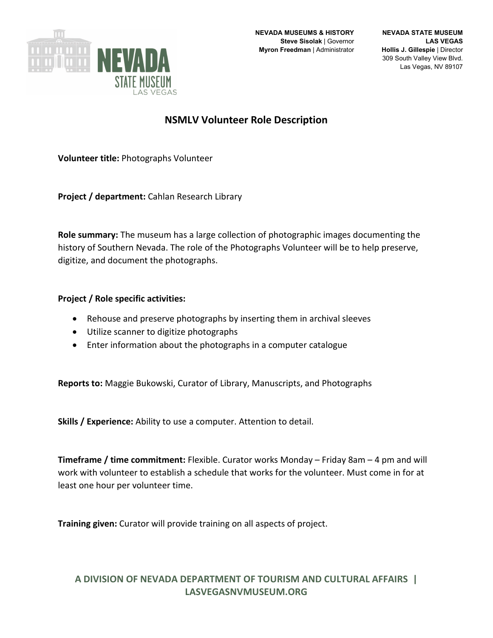

## **NSMLV Volunteer Role Description**

**Volunteer title:** Photographs Volunteer

**Project / department:** Cahlan Research Library

**Role summary:** The museum has a large collection of photographic images documenting the history of Southern Nevada. The role of the Photographs Volunteer will be to help preserve, digitize, and document the photographs.

## **Project / Role specific activities:**

- Rehouse and preserve photographs by inserting them in archival sleeves
- Utilize scanner to digitize photographs
- Enter information about the photographs in a computer catalogue

**Reports to:** Maggie Bukowski, Curator of Library, Manuscripts, and Photographs

**Skills / Experience:** Ability to use a computer. Attention to detail.

**Timeframe / time commitment:** Flexible. Curator works Monday – Friday 8am – 4 pm and will work with volunteer to establish a schedule that works for the volunteer. Must come in for at least one hour per volunteer time.

**Training given:** Curator will provide training on all aspects of project.

## **A DIVISION OF NEVADA DEPARTMENT OF TOURISM AND CULTURAL AFFAIRS | LASVEGASNVMUSEUM.ORG**